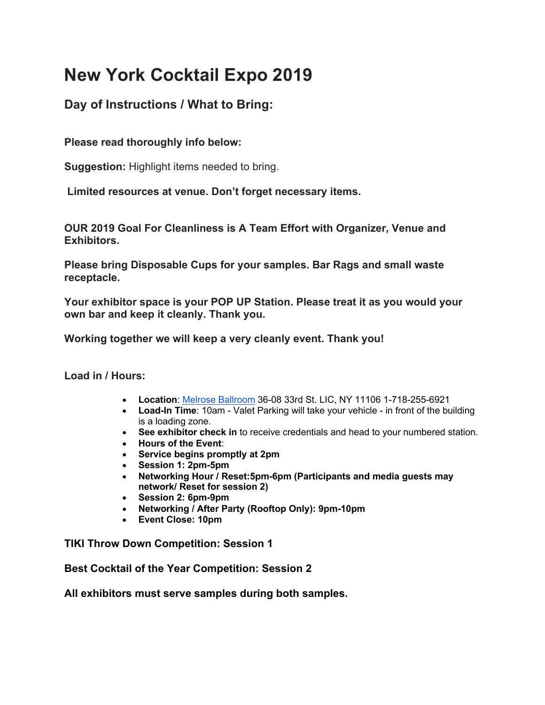# **New York Cocktail Expo 2019**

# **Day of Instructions / What to Bring:**

## **Please read thoroughly info below:**

**Suggestion:** Highlight items needed to bring.

**Limited resources at venue. Don't forget necessary items.**

**OUR 2019 Goal For Cleanliness is A Team Effort with Organizer, Venue and Exhibitors.**

**Please bring Disposable Cups for your samples. Bar Rags and small waste receptacle.**

**Your exhibitor space is your POP UP Station. Please treat it as you would your own bar and keep it cleanly. Thank you.**

#### **Working together we will keep a very cleanly event. Thank you!**

**Load in / Hours:**

- **Location**: Melrose Ballroom 36-08 33rd St. LIC, NY 11106 1-718-255-6921
- **Load-In Time**: 10am Valet Parking will take your vehicle in front of the building is a loading zone.
- **See exhibitor check in** to receive credentials and head to your numbered station.
- **Hours of the Event**:
- **Service begins promptly at 2pm**
- **Session 1: 2pm-5pm**
- **Networking Hour / Reset:5pm-6pm (Participants and media guests may network/ Reset for session 2)**
- **Session 2: 6pm-9pm**
- **Networking / After Party (Rooftop Only): 9pm-10pm**
- **Event Close: 10pm**

**TIKI Throw Down Competition: Session 1**

**Best Cocktail of the Year Competition: Session 2**

**All exhibitors must serve samples during both samples.**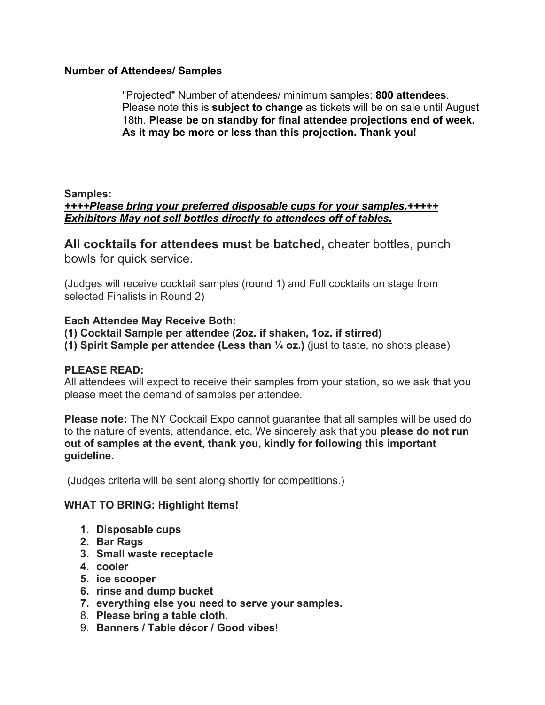#### **Number of Attendees/ Samples**

"Projected" Number of attendees/ minimum samples: **800 attendees**. Please note this is **subject to change** as tickets will be on sale until August 18th. **Please be on standby for final attendee projections end of week. As it may be more or less than this projection. Thank you!**

## **Samples:** *++++Please bring your preferred disposable cups for your samples.+++++ Exhibitors May not sell bottles directly to attendees off of tables.*

**All cocktails for attendees must be batched,** cheater bottles, punch bowls for quick service.

(Judges will receive cocktail samples (round 1) and Full cocktails on stage from selected Finalists in Round 2)

#### **Each Attendee May Receive Both:**

- **(1) Cocktail Sample per attendee (2oz. if shaken, 1oz. if stirred)**
- **(1) Spirit Sample per attendee (Less than ¼ oz.)** (just to taste, no shots please)

#### **PLEASE READ:**

All attendees will expect to receive their samples from your station, so we ask that you please meet the demand of samples per attendee.

**Please note:** The NY Cocktail Expo cannot guarantee that all samples will be used do to the nature of events, attendance, etc. We sincerely ask that you **please do not run out of samples at the event, thank you, kindly for following this important guideline.**

(Judges criteria will be sent along shortly for competitions.)

## **WHAT TO BRING: Highlight Items!**

- **1. Disposable cups**
- **2. Bar Rags**
- **3. Small waste receptacle**
- **4. cooler**
- **5. ice scooper**
- **6. rinse and dump bucket**
- **7. everything else you need to serve your samples.**
- 8. **Please bring a table cloth**.
- 9. **Banners / Table décor / Good vibes**!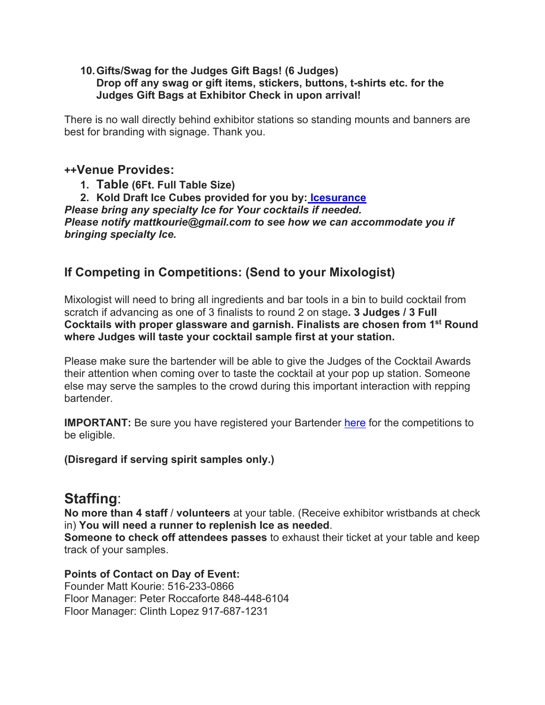#### **10.Gifts/Swag for the Judges Gift Bags! (6 Judges) Drop off any swag or gift items, stickers, buttons, t-shirts etc. for the Judges Gift Bags at Exhibitor Check in upon arrival!**

There is no wall directly behind exhibitor stations so standing mounts and banners are best for branding with signage. Thank you.

# **++Venue Provides:**

**1. Table (6Ft. Full Table Size)**

**2. Kold Draft Ice Cubes provided for you by: Icesurance** *Please bring any specialty Ice for Your cocktails if needed. Please notify mattkourie@gmail.com to see how we can accommodate you if bringing specialty Ice.*

# **If Competing in Competitions: (Send to your Mixologist)**

Mixologist will need to bring all ingredients and bar tools in a bin to build cocktail from scratch if advancing as one of 3 finalists to round 2 on stage**. 3 Judges / 3 Full Cocktails with proper glassware and garnish. Finalists are chosen from 1st Round where Judges will taste your cocktail sample first at your station.**

Please make sure the bartender will be able to give the Judges of the Cocktail Awards their attention when coming over to taste the cocktail at your pop up station. Someone else may serve the samples to the crowd during this important interaction with repping bartender.

**IMPORTANT:** Be sure you have registered your Bartender here for the competitions to be eligible.

## **(Disregard if serving spirit samples only.)**

# **Staffing**:

**No more than 4 staff** / **volunteers** at your table. (Receive exhibitor wristbands at check in) **You will need a runner to replenish Ice as needed**.

**Someone to check off attendees passes** to exhaust their ticket at your table and keep track of your samples.

#### **Points of Contact on Day of Event:**

Founder Matt Kourie: 516-233-0866 Floor Manager: Peter Roccaforte 848-448-6104 Floor Manager: Clinth Lopez 917-687-1231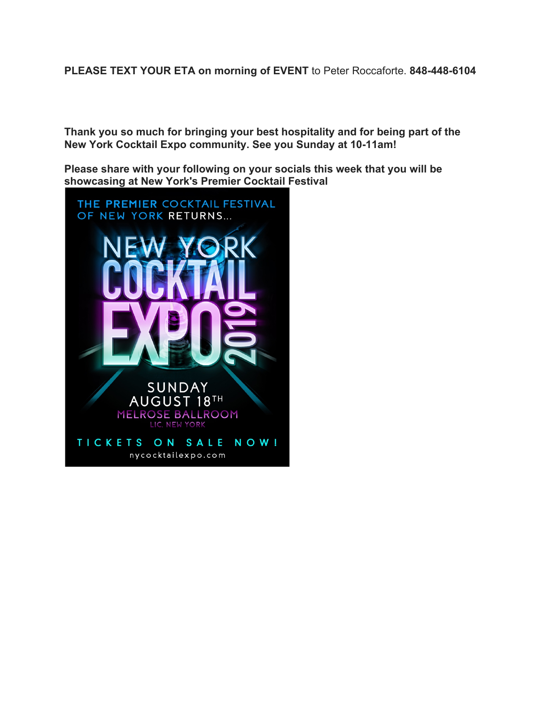**PLEASE TEXT YOUR ETA on morning of EVENT** to Peter Roccaforte. **848-448-6104**

**Thank you so much for bringing your best hospitality and for being part of the New York Cocktail Expo community. See you Sunday at 10-11am!**

**Please share with your following on your socials this week that you will be showcasing at New York's Premier Cocktail Festival**